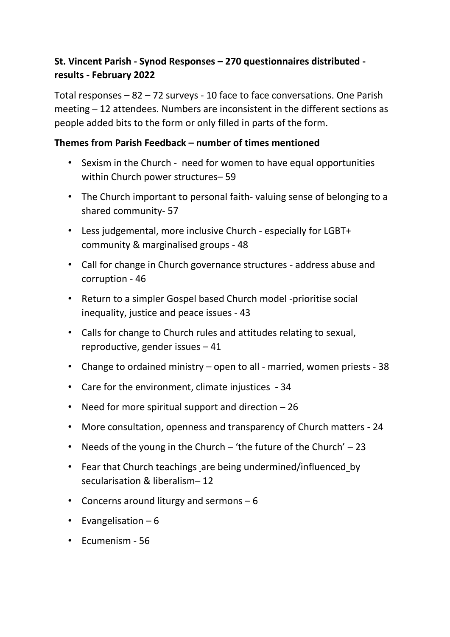# **St. Vincent Parish - Synod Responses – 270 questionnaires distributed results - February 2022**

Total responses – 82 – 72 surveys - 10 face to face conversations. One Parish meeting – 12 attendees. Numbers are inconsistent in the different sections as people added bits to the form or only filled in parts of the form.

# **Themes from Parish Feedback – number of times mentioned**

- Sexism in the Church need for women to have equal opportunities within Church power structures– 59
- The Church important to personal faith- valuing sense of belonging to a shared community- 57
- Less judgemental, more inclusive Church especially for LGBT+ community & marginalised groups - 48
- Call for change in Church governance structures address abuse and corruption - 46
- Return to a simpler Gospel based Church model -prioritise social inequality, justice and peace issues - 43
- Calls for change to Church rules and attitudes relating to sexual, reproductive, gender issues – 41
- Change to ordained ministry open to all married, women priests 38
- Care for the environment, climate injustices 34
- Need for more spiritual support and direction 26
- More consultation, openness and transparency of Church matters 24
- Needs of the young in the Church 'the future of the Church' 23
- Fear that Church teachings are being undermined/influencedby secularisation & liberalism– 12
- Concerns around liturgy and sermons 6
- Evangelisation  $-6$
- Ecumenism 56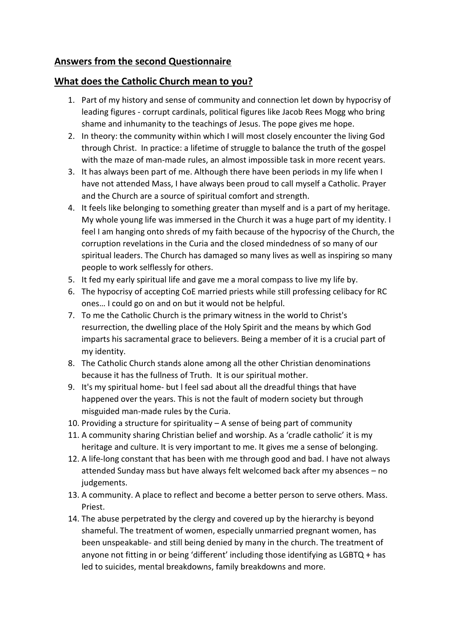# **Answers from the second Questionnaire**

## **What does the Catholic Church mean to you?**

- 1. Part of my history and sense of community and connection let down by hypocrisy of leading figures - corrupt cardinals, political figures like Jacob Rees Mogg who bring shame and inhumanity to the teachings of Jesus. The pope gives me hope.
- 2. In theory: the community within which I will most closely encounter the living God through Christ. In practice: a lifetime of struggle to balance the truth of the gospel with the maze of man-made rules, an almost impossible task in more recent years.
- 3. It has always been part of me. Although there have been periods in my life when I have not attended Mass, I have always been proud to call myself a Catholic. Prayer and the Church are a source of spiritual comfort and strength.
- 4. It feels like belonging to something greater than myself and is a part of my heritage. My whole young life was immersed in the Church it was a huge part of my identity. I feel I am hanging onto shreds of my faith because of the hypocrisy of the Church, the corruption revelations in the Curia and the closed mindedness of so many of our spiritual leaders. The Church has damaged so many lives as well as inspiring so many people to work selflessly for others.
- 5. It fed my early spiritual life and gave me a moral compass to live my life by.
- 6. The hypocrisy of accepting CoE married priests while still professing celibacy for RC ones… I could go on and on but it would not be helpful.
- 7. To me the Catholic Church is the primary witness in the world to Christ's resurrection, the dwelling place of the Holy Spirit and the means by which God imparts his sacramental grace to believers. Being a member of it is a crucial part of my identity.
- 8. The Catholic Church stands alone among all the other Christian denominations because it has the fullness of Truth. It is our spiritual mother.
- 9. It's my spiritual home- but l feel sad about all the dreadful things that have happened over the years. This is not the fault of modern society but through misguided man-made rules by the Curia.
- 10. Providing a structure for spirituality A sense of being part of community
- 11. A community sharing Christian belief and worship. As a 'cradle catholic' it is my heritage and culture. It is very important to me. It gives me a sense of belonging.
- 12. A life-long constant that has been with me through good and bad. I have not always attended Sunday mass but have always felt welcomed back after my absences – no judgements.
- 13. A community. A place to reflect and become a better person to serve others. Mass. Priest.
- 14. The abuse perpetrated by the clergy and covered up by the hierarchy is beyond shameful. The treatment of women, especially unmarried pregnant women, has been unspeakable- and still being denied by many in the church. The treatment of anyone not fitting in or being 'different' including those identifying as LGBTQ + has led to suicides, mental breakdowns, family breakdowns and more.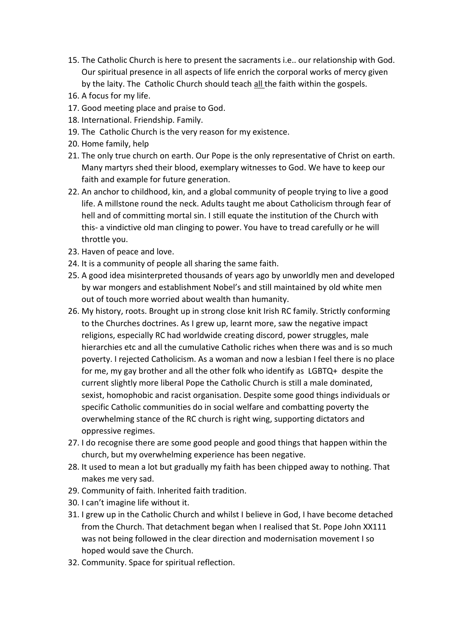- 15. The Catholic Church is here to present the sacraments i.e.. our relationship with God. Our spiritual presence in all aspects of life enrich the corporal works of mercy given by the laity. The Catholic Church should teach all the faith within the gospels.
- 16. A focus for my life.
- 17. Good meeting place and praise to God.
- 18. International. Friendship. Family.
- 19. The Catholic Church is the very reason for my existence.
- 20. Home family, help
- 21. The only true church on earth. Our Pope is the only representative of Christ on earth. Many martyrs shed their blood, exemplary witnesses to God. We have to keep our faith and example for future generation.
- 22. An anchor to childhood, kin, and a global community of people trying to live a good life. A millstone round the neck. Adults taught me about Catholicism through fear of hell and of committing mortal sin. I still equate the institution of the Church with this- a vindictive old man clinging to power. You have to tread carefully or he will throttle you.
- 23. Haven of peace and love.
- 24. It is a community of people all sharing the same faith.
- 25. A good idea misinterpreted thousands of years ago by unworldly men and developed by war mongers and establishment Nobel's and still maintained by old white men out of touch more worried about wealth than humanity.
- 26. My history, roots. Brought up in strong close knit Irish RC family. Strictly conforming to the Churches doctrines. As I grew up, learnt more, saw the negative impact religions, especially RC had worldwide creating discord, power struggles, male hierarchies etc and all the cumulative Catholic riches when there was and is so much poverty. I rejected Catholicism. As a woman and now a lesbian I feel there is no place for me, my gay brother and all the other folk who identify as LGBTQ+ despite the current slightly more liberal Pope the Catholic Church is still a male dominated, sexist, homophobic and racist organisation. Despite some good things individuals or specific Catholic communities do in social welfare and combatting poverty the overwhelming stance of the RC church is right wing, supporting dictators and oppressive regimes.
- 27. I do recognise there are some good people and good things that happen within the church, but my overwhelming experience has been negative.
- 28. It used to mean a lot but gradually my faith has been chipped away to nothing. That makes me very sad.
- 29. Community of faith. Inherited faith tradition.
- 30. I can't imagine life without it.
- 31. I grew up in the Catholic Church and whilst I believe in God, I have become detached from the Church. That detachment began when I realised that St. Pope John XX111 was not being followed in the clear direction and modernisation movement I so hoped would save the Church.
- 32. Community. Space for spiritual reflection.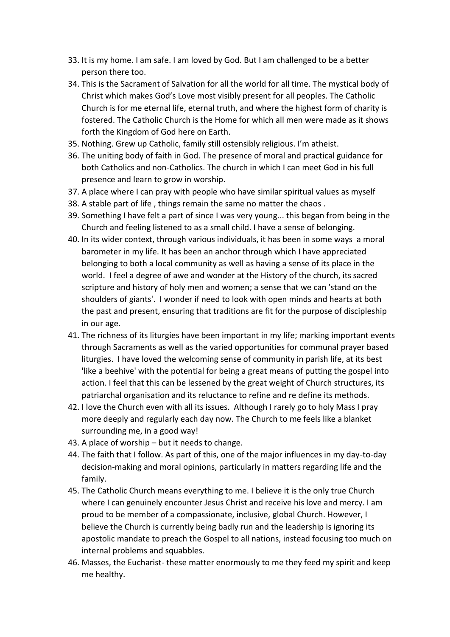- 33. It is my home. I am safe. I am loved by God. But I am challenged to be a better person there too.
- 34. This is the Sacrament of Salvation for all the world for all time. The mystical body of Christ which makes God's Love most visibly present for all peoples. The Catholic Church is for me eternal life, eternal truth, and where the highest form of charity is fostered. The Catholic Church is the Home for which all men were made as it shows forth the Kingdom of God here on Earth.
- 35. Nothing. Grew up Catholic, family still ostensibly religious. I'm atheist.
- 36. The uniting body of faith in God. The presence of moral and practical guidance for both Catholics and non-Catholics. The church in which I can meet God in his full presence and learn to grow in worship.
- 37. A place where I can pray with people who have similar spiritual values as myself
- 38. A stable part of life , things remain the same no matter the chaos .
- 39. Something I have felt a part of since I was very young... this began from being in the Church and feeling listened to as a small child. I have a sense of belonging.
- 40. In its wider context, through various individuals, it has been in some ways a moral barometer in my life. It has been an anchor through which I have appreciated belonging to both a local community as well as having a sense of its place in the world. I feel a degree of awe and wonder at the History of the church, its sacred scripture and history of holy men and women; a sense that we can 'stand on the shoulders of giants'. I wonder if need to look with open minds and hearts at both the past and present, ensuring that traditions are fit for the purpose of discipleship in our age.
- 41. The richness of its liturgies have been important in my life; marking important events through Sacraments as well as the varied opportunities for communal prayer based liturgies. I have loved the welcoming sense of community in parish life, at its best 'like a beehive' with the potential for being a great means of putting the gospel into action. I feel that this can be lessened by the great weight of Church structures, its patriarchal organisation and its reluctance to refine and re define its methods.
- 42. I love the Church even with all its issues. Although I rarely go to holy Mass I pray more deeply and regularly each day now. The Church to me feels like a blanket surrounding me, in a good way!
- 43. A place of worship but it needs to change.
- 44. The faith that I follow. As part of this, one of the major influences in my day-to-day decision-making and moral opinions, particularly in matters regarding life and the family.
- 45. The Catholic Church means everything to me. I believe it is the only true Church where I can genuinely encounter Jesus Christ and receive his love and mercy. I am proud to be member of a compassionate, inclusive, global Church. However, I believe the Church is currently being badly run and the leadership is ignoring its apostolic mandate to preach the Gospel to all nations, instead focusing too much on internal problems and squabbles.
- 46. Masses, the Eucharist- these matter enormously to me they feed my spirit and keep me healthy.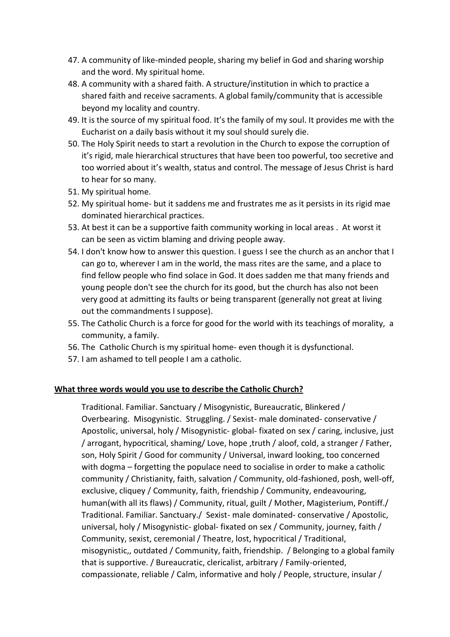- 47. A community of like-minded people, sharing my belief in God and sharing worship and the word. My spiritual home.
- 48. A community with a shared faith. A structure/institution in which to practice a shared faith and receive sacraments. A global family/community that is accessible beyond my locality and country.
- 49. It is the source of my spiritual food. It's the family of my soul. It provides me with the Eucharist on a daily basis without it my soul should surely die.
- 50. The Holy Spirit needs to start a revolution in the Church to expose the corruption of it's rigid, male hierarchical structures that have been too powerful, too secretive and too worried about it's wealth, status and control. The message of Jesus Christ is hard to hear for so many.
- 51. My spiritual home.
- 52. My spiritual home- but it saddens me and frustrates me as it persists in its rigid mae dominated hierarchical practices.
- 53. At best it can be a supportive faith community working in local areas . At worst it can be seen as victim blaming and driving people away.
- 54. I don't know how to answer this question. I guess I see the church as an anchor that I can go to, wherever I am in the world, the mass rites are the same, and a place to find fellow people who find solace in God. It does sadden me that many friends and young people don't see the church for its good, but the church has also not been very good at admitting its faults or being transparent (generally not great at living out the commandments I suppose).
- 55. The Catholic Church is a force for good for the world with its teachings of morality, a community, a family.
- 56. The Catholic Church is my spiritual home- even though it is dysfunctional.
- 57. I am ashamed to tell people I am a catholic.

#### **What three words would you use to describe the Catholic Church?**

Traditional. Familiar. Sanctuary / Misogynistic, Bureaucratic, Blinkered / Overbearing. Misogynistic. Struggling. / Sexist- male dominated- conservative / Apostolic, universal, holy / Misogynistic- global- fixated on sex / caring, inclusive, just / arrogant, hypocritical, shaming/ Love, hope ,truth / aloof, cold, a stranger / Father, son, Holy Spirit / Good for community / Universal, inward looking, too concerned with dogma – forgetting the populace need to socialise in order to make a catholic community / Christianity, faith, salvation / Community, old-fashioned, posh, well-off, exclusive, cliquey / Community, faith, friendship / Community, endeavouring, human(with all its flaws) / Community, ritual, guilt / Mother, Magisterium, Pontiff./ Traditional. Familiar. Sanctuary./ Sexist- male dominated- conservative / Apostolic, universal, holy / Misogynistic- global- fixated on sex / Community, journey, faith / Community, sexist, ceremonial / Theatre, lost, hypocritical / Traditional, misogynistic,, outdated / Community, faith, friendship. / Belonging to a global family that is supportive. / Bureaucratic, clericalist, arbitrary / Family-oriented, compassionate, reliable / Calm, informative and holy / People, structure, insular /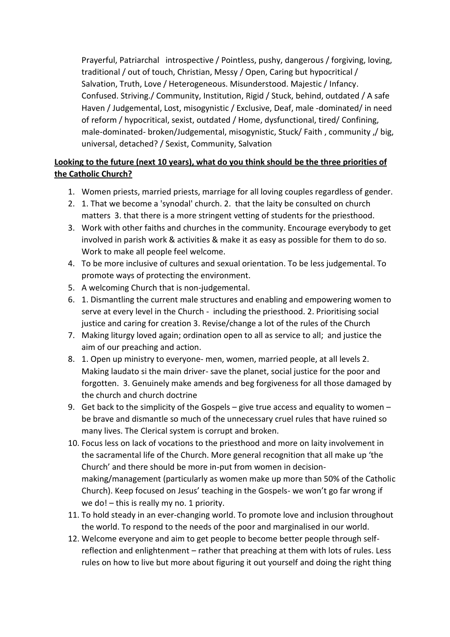Prayerful, Patriarchal introspective / Pointless, pushy, dangerous / forgiving, loving, traditional / out of touch, Christian, Messy / Open, Caring but hypocritical / Salvation, Truth, Love / Heterogeneous. Misunderstood. Majestic / Infancy. Confused. Striving./ Community, Institution, Rigid / Stuck, behind, outdated / A safe Haven / Judgemental, Lost, misogynistic / Exclusive, Deaf, male -dominated/ in need of reform / hypocritical, sexist, outdated / Home, dysfunctional, tired/ Confining, male-dominated- broken/Judgemental, misogynistic, Stuck/ Faith , community ,/ big, universal, detached? / Sexist, Community, Salvation

# **Looking to the future (next 10 years), what do you think should be the three priorities of the Catholic Church?**

- 1. Women priests, married priests, marriage for all loving couples regardless of gender.
- 2. 1. That we become a 'synodal' church. 2. that the laity be consulted on church matters 3. that there is a more stringent vetting of students for the priesthood.
- 3. Work with other faiths and churches in the community. Encourage everybody to get involved in parish work & activities & make it as easy as possible for them to do so. Work to make all people feel welcome.
- 4. To be more inclusive of cultures and sexual orientation. To be less judgemental. To promote ways of protecting the environment.
- 5. A welcoming Church that is non-judgemental.
- 6. 1. Dismantling the current male structures and enabling and empowering women to serve at every level in the Church - including the priesthood. 2. Prioritising social justice and caring for creation 3. Revise/change a lot of the rules of the Church
- 7. Making liturgy loved again; ordination open to all as service to all; and justice the aim of our preaching and action.
- 8. 1. Open up ministry to everyone- men, women, married people, at all levels 2. Making laudato si the main driver- save the planet, social justice for the poor and forgotten. 3. Genuinely make amends and beg forgiveness for all those damaged by the church and church doctrine
- 9. Get back to the simplicity of the Gospels give true access and equality to women be brave and dismantle so much of the unnecessary cruel rules that have ruined so many lives. The Clerical system is corrupt and broken.
- 10. Focus less on lack of vocations to the priesthood and more on laity involvement in the sacramental life of the Church. More general recognition that all make up 'the Church' and there should be more in-put from women in decisionmaking/management (particularly as women make up more than 50% of the Catholic Church). Keep focused on Jesus' teaching in the Gospels- we won't go far wrong if we do! – this is really my no. 1 priority.
- 11. To hold steady in an ever-changing world. To promote love and inclusion throughout the world. To respond to the needs of the poor and marginalised in our world.
- 12. Welcome everyone and aim to get people to become better people through selfreflection and enlightenment – rather that preaching at them with lots of rules. Less rules on how to live but more about figuring it out yourself and doing the right thing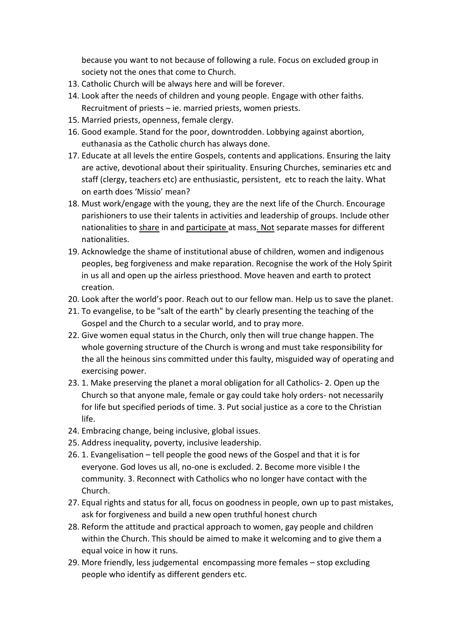because you want to not because of following a rule. Focus on excluded group in society not the ones that come to Church.

- 13. Catholic Church will be always here and will be forever.
- 14. Look after the needs of children and young people. Engage with other faiths. Recruitment of priests – ie. married priests, women priests.
- 15. Married priests, openness, female clergy.
- 16. Good example. Stand for the poor, downtrodden. Lobbying against abortion, euthanasia as the Catholic church has always done.
- 17. Educate at all levels the entire Gospels, contents and applications. Ensuring the laity are active, devotional about their spirituality. Ensuring Churches, seminaries etc and staff (clergy, teachers etc) are enthusiastic, persistent, etc to reach the laity. What on earth does 'Missio' mean?
- 18. Must work/engage with the young, they are the next life of the Church. Encourage parishioners to use their talents in activities and leadership of groups. Include other nationalities to share in and participate at mass. Not separate masses for different nationalities.
- 19. Acknowledge the shame of institutional abuse of children, women and indigenous peoples, beg forgiveness and make reparation. Recognise the work of the Holy Spirit in us all and open up the airless priesthood. Move heaven and earth to protect creation.
- 20. Look after the world's poor. Reach out to our fellow man. Help us to save the planet.
- 21. To evangelise, to be "salt of the earth" by clearly presenting the teaching of the Gospel and the Church to a secular world, and to pray more.
- 22. Give women equal status in the Church, only then will true change happen. The whole governing structure of the Church is wrong and must take responsibility for the all the heinous sins committed under this faulty, misguided way of operating and exercising power.
- 23. 1. Make preserving the planet a moral obligation for all Catholics- 2. Open up the Church so that anyone male, female or gay could take holy orders- not necessarily for life but specified periods of time. 3. Put social justice as a core to the Christian life.
- 24. Embracing change, being inclusive, global issues.
- 25. Address inequality, poverty, inclusive leadership.
- 26. 1. Evangelisation tell people the good news of the Gospel and that it is for everyone. God loves us all, no-one is excluded. 2. Become more visible I the community. 3. Reconnect with Catholics who no longer have contact with the Church.
- 27. Equal rights and status for all, focus on goodness in people, own up to past mistakes, ask for forgiveness and build a new open truthful honest church
- 28. Reform the attitude and practical approach to women, gay people and children within the Church. This should be aimed to make it welcoming and to give them a equal voice in how it runs.
- 29. More friendly, less judgemental encompassing more females stop excluding people who identify as different genders etc.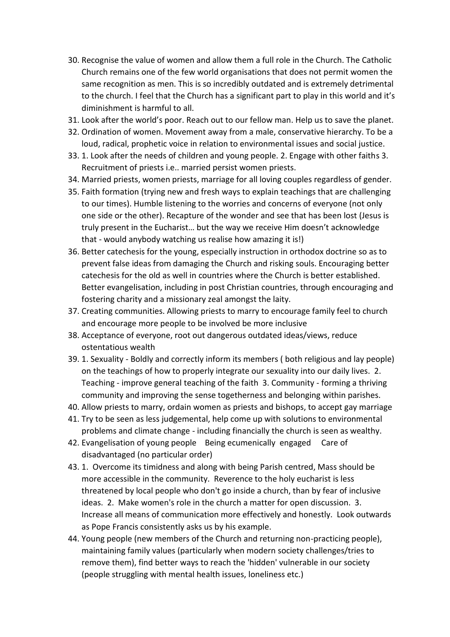- 30. Recognise the value of women and allow them a full role in the Church. The Catholic Church remains one of the few world organisations that does not permit women the same recognition as men. This is so incredibly outdated and is extremely detrimental to the church. I feel that the Church has a significant part to play in this world and it's diminishment is harmful to all.
- 31. Look after the world's poor. Reach out to our fellow man. Help us to save the planet.
- 32. Ordination of women. Movement away from a male, conservative hierarchy. To be a loud, radical, prophetic voice in relation to environmental issues and social justice.
- 33. 1. Look after the needs of children and young people. 2. Engage with other faiths 3. Recruitment of priests i.e.. married persist women priests.
- 34. Married priests, women priests, marriage for all loving couples regardless of gender.
- 35. Faith formation (trying new and fresh ways to explain teachings that are challenging to our times). Humble listening to the worries and concerns of everyone (not only one side or the other). Recapture of the wonder and see that has been lost (Jesus is truly present in the Eucharist… but the way we receive Him doesn't acknowledge that - would anybody watching us realise how amazing it is!)
- 36. Better catechesis for the young, especially instruction in orthodox doctrine so as to prevent false ideas from damaging the Church and risking souls. Encouraging better catechesis for the old as well in countries where the Church is better established. Better evangelisation, including in post Christian countries, through encouraging and fostering charity and a missionary zeal amongst the laity.
- 37. Creating communities. Allowing priests to marry to encourage family feel to church and encourage more people to be involved be more inclusive
- 38. Acceptance of everyone, root out dangerous outdated ideas/views, reduce ostentatious wealth
- 39. 1. Sexuality Boldly and correctly inform its members ( both religious and lay people) on the teachings of how to properly integrate our sexuality into our daily lives. 2. Teaching - improve general teaching of the faith 3. Community - forming a thriving community and improving the sense togetherness and belonging within parishes.
- 40. Allow priests to marry, ordain women as priests and bishops, to accept gay marriage
- 41. Try to be seen as less judgemental, help come up with solutions to environmental problems and climate change - including financially the church is seen as wealthy.
- 42. Evangelisation of young people Being ecumenically engaged Care of disadvantaged (no particular order)
- 43. 1. Overcome its timidness and along with being Parish centred, Mass should be more accessible in the community. Reverence to the holy eucharist is less threatened by local people who don't go inside a church, than by fear of inclusive ideas. 2. Make women's role in the church a matter for open discussion. 3. Increase all means of communication more effectively and honestly. Look outwards as Pope Francis consistently asks us by his example.
- 44. Young people (new members of the Church and returning non-practicing people), maintaining family values (particularly when modern society challenges/tries to remove them), find better ways to reach the 'hidden' vulnerable in our society (people struggling with mental health issues, loneliness etc.)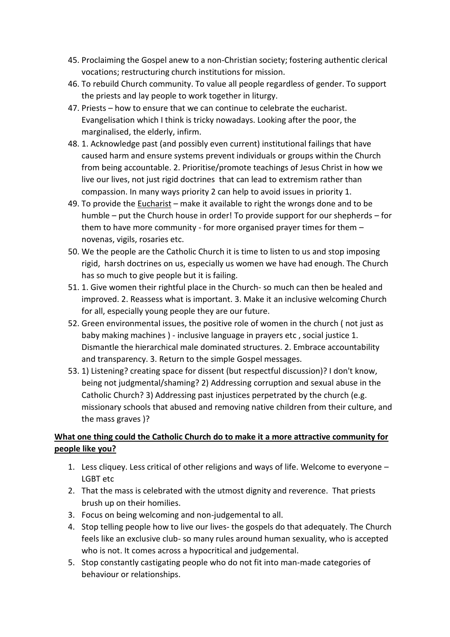- 45. Proclaiming the Gospel anew to a non-Christian society; fostering authentic clerical vocations; restructuring church institutions for mission.
- 46. To rebuild Church community. To value all people regardless of gender. To support the priests and lay people to work together in liturgy.
- 47. Priests how to ensure that we can continue to celebrate the eucharist. Evangelisation which I think is tricky nowadays. Looking after the poor, the marginalised, the elderly, infirm.
- 48. 1. Acknowledge past (and possibly even current) institutional failings that have caused harm and ensure systems prevent individuals or groups within the Church from being accountable. 2. Prioritise/promote teachings of Jesus Christ in how we live our lives, not just rigid doctrines that can lead to extremism rather than compassion. In many ways priority 2 can help to avoid issues in priority 1.
- 49. To provide the Eucharist make it available to right the wrongs done and to be humble – put the Church house in order! To provide support for our shepherds – for them to have more community - for more organised prayer times for them – novenas, vigils, rosaries etc.
- 50. We the people are the Catholic Church it is time to listen to us and stop imposing rigid, harsh doctrines on us, especially us women we have had enough. The Church has so much to give people but it is failing.
- 51. 1. Give women their rightful place in the Church- so much can then be healed and improved. 2. Reassess what is important. 3. Make it an inclusive welcoming Church for all, especially young people they are our future.
- 52. Green environmental issues, the positive role of women in the church ( not just as baby making machines ) - inclusive language in prayers etc , social justice 1. Dismantle the hierarchical male dominated structures. 2. Embrace accountability and transparency. 3. Return to the simple Gospel messages.
- 53. 1) Listening? creating space for dissent (but respectful discussion)? I don't know, being not judgmental/shaming? 2) Addressing corruption and sexual abuse in the Catholic Church? 3) Addressing past injustices perpetrated by the church (e.g. missionary schools that abused and removing native children from their culture, and the mass graves )?

# **What one thing could the Catholic Church do to make it a more attractive community for people like you?**

- 1. Less cliquey. Less critical of other religions and ways of life. Welcome to everyone LGBT etc
- 2. That the mass is celebrated with the utmost dignity and reverence. That priests brush up on their homilies.
- 3. Focus on being welcoming and non-judgemental to all.
- 4. Stop telling people how to live our lives- the gospels do that adequately. The Church feels like an exclusive club- so many rules around human sexuality, who is accepted who is not. It comes across a hypocritical and judgemental.
- 5. Stop constantly castigating people who do not fit into man-made categories of behaviour or relationships.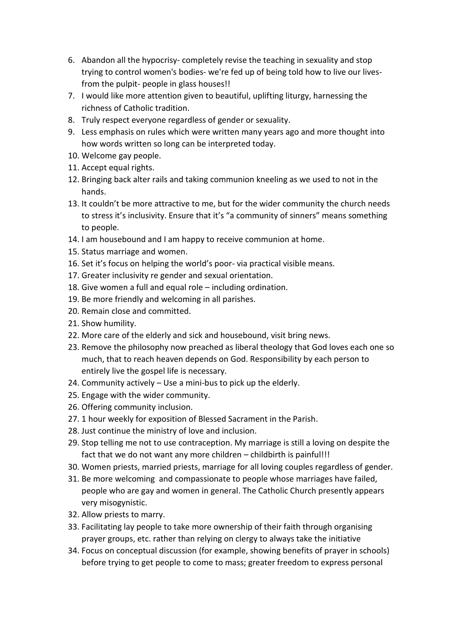- 6. Abandon all the hypocrisy- completely revise the teaching in sexuality and stop trying to control women's bodies- we're fed up of being told how to live our livesfrom the pulpit- people in glass houses!!
- 7. I would like more attention given to beautiful, uplifting liturgy, harnessing the richness of Catholic tradition.
- 8. Truly respect everyone regardless of gender or sexuality.
- 9. Less emphasis on rules which were written many years ago and more thought into how words written so long can be interpreted today.
- 10. Welcome gay people.
- 11. Accept equal rights.
- 12. Bringing back alter rails and taking communion kneeling as we used to not in the hands.
- 13. It couldn't be more attractive to me, but for the wider community the church needs to stress it's inclusivity. Ensure that it's "a community of sinners" means something to people.
- 14. I am housebound and I am happy to receive communion at home.
- 15. Status marriage and women.
- 16. Set it's focus on helping the world's poor- via practical visible means.
- 17. Greater inclusivity re gender and sexual orientation.
- 18. Give women a full and equal role including ordination.
- 19. Be more friendly and welcoming in all parishes.
- 20. Remain close and committed.
- 21. Show humility.
- 22. More care of the elderly and sick and housebound, visit bring news.
- 23. Remove the philosophy now preached as liberal theology that God loves each one so much, that to reach heaven depends on God. Responsibility by each person to entirely live the gospel life is necessary.
- 24. Community actively Use a mini-bus to pick up the elderly.
- 25. Engage with the wider community.
- 26. Offering community inclusion.
- 27. 1 hour weekly for exposition of Blessed Sacrament in the Parish.
- 28. Just continue the ministry of love and inclusion.
- 29. Stop telling me not to use contraception. My marriage is still a loving on despite the fact that we do not want any more children – childbirth is painful!!!
- 30. Women priests, married priests, marriage for all loving couples regardless of gender.
- 31. Be more welcoming and compassionate to people whose marriages have failed, people who are gay and women in general. The Catholic Church presently appears very misogynistic.
- 32. Allow priests to marry.
- 33. Facilitating lay people to take more ownership of their faith through organising prayer groups, etc. rather than relying on clergy to always take the initiative
- 34. Focus on conceptual discussion (for example, showing benefits of prayer in schools) before trying to get people to come to mass; greater freedom to express personal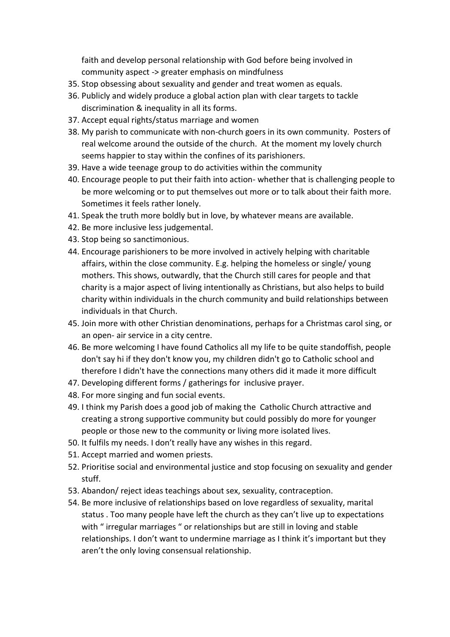faith and develop personal relationship with God before being involved in community aspect -> greater emphasis on mindfulness

- 35. Stop obsessing about sexuality and gender and treat women as equals.
- 36. Publicly and widely produce a global action plan with clear targets to tackle discrimination & inequality in all its forms.
- 37. Accept equal rights/status marriage and women
- 38. My parish to communicate with non-church goers in its own community. Posters of real welcome around the outside of the church. At the moment my lovely church seems happier to stay within the confines of its parishioners.
- 39. Have a wide teenage group to do activities within the community
- 40. Encourage people to put their faith into action- whether that is challenging people to be more welcoming or to put themselves out more or to talk about their faith more. Sometimes it feels rather lonely.
- 41. Speak the truth more boldly but in love, by whatever means are available.
- 42. Be more inclusive less judgemental.
- 43. Stop being so sanctimonious.
- 44. Encourage parishioners to be more involved in actively helping with charitable affairs, within the close community. E.g. helping the homeless or single/ young mothers. This shows, outwardly, that the Church still cares for people and that charity is a major aspect of living intentionally as Christians, but also helps to build charity within individuals in the church community and build relationships between individuals in that Church.
- 45. Join more with other Christian denominations, perhaps for a Christmas carol sing, or an open- air service in a city centre.
- 46. Be more welcoming I have found Catholics all my life to be quite standoffish, people don't say hi if they don't know you, my children didn't go to Catholic school and therefore I didn't have the connections many others did it made it more difficult
- 47. Developing different forms / gatherings for inclusive prayer.
- 48. For more singing and fun social events.
- 49. I think my Parish does a good job of making the Catholic Church attractive and creating a strong supportive community but could possibly do more for younger people or those new to the community or living more isolated lives.
- 50. It fulfils my needs. I don't really have any wishes in this regard.
- 51. Accept married and women priests.
- 52. Prioritise social and environmental justice and stop focusing on sexuality and gender stuff.
- 53. Abandon/ reject ideas teachings about sex, sexuality, contraception.
- 54. Be more inclusive of relationships based on love regardless of sexuality, marital status . Too many people have left the church as they can't live up to expectations with " irregular marriages " or relationships but are still in loving and stable relationships. I don't want to undermine marriage as I think it's important but they aren't the only loving consensual relationship.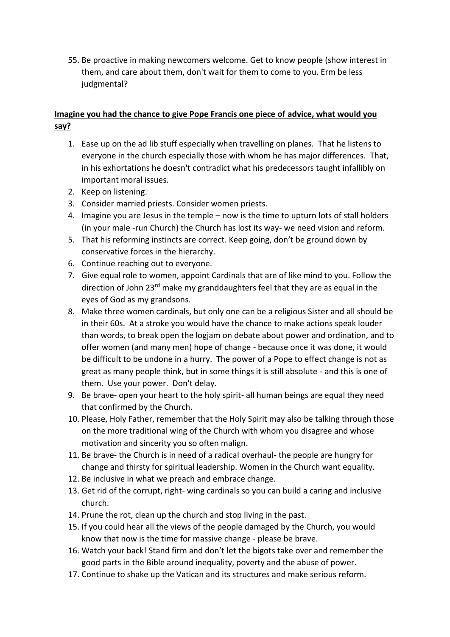55. Be proactive in making newcomers welcome. Get to know people (show interest in them, and care about them, don't wait for them to come to you. Erm be less judgmental?

### **Imagine you had the chance to give Pope Francis one piece of advice, what would you say?**

- 1. Ease up on the ad lib stuff especially when travelling on planes. That he listens to everyone in the church especially those with whom he has major differences. That, in his exhortations he doesn't contradict what his predecessors taught infallibly on important moral issues.
- 2. Keep on listening.
- 3. Consider married priests. Consider women priests.
- 4. Imagine you are Jesus in the temple now is the time to upturn lots of stall holders (in your male -run Church) the Church has lost its way- we need vision and reform.
- 5. That his reforming instincts are correct. Keep going, don't be ground down by conservative forces in the hierarchy.
- 6. Continue reaching out to everyone.
- 7. Give equal role to women, appoint Cardinals that are of like mind to you. Follow the direction of John 23rd make my granddaughters feel that they are as equal in the eyes of God as my grandsons.
- 8. Make three women cardinals, but only one can be a religious Sister and all should be in their 60s. At a stroke you would have the chance to make actions speak louder than words, to break open the logjam on debate about power and ordination, and to offer women (and many men) hope of change - because once it was done, it would be difficult to be undone in a hurry. The power of a Pope to effect change is not as great as many people think, but in some things it is still absolute - and this is one of them. Use your power. Don't delay.
- 9. Be brave- open your heart to the holy spirit- all human beings are equal they need that confirmed by the Church.
- 10. Please, Holy Father, remember that the Holy Spirit may also be talking through those on the more traditional wing of the Church with whom you disagree and whose motivation and sincerity you so often malign.
- 11. Be brave- the Church is in need of a radical overhaul- the people are hungry for change and thirsty for spiritual leadership. Women in the Church want equality.
- 12. Be inclusive in what we preach and embrace change.
- 13. Get rid of the corrupt, right- wing cardinals so you can build a caring and inclusive church.
- 14. Prune the rot, clean up the church and stop living in the past.
- 15. If you could hear all the views of the people damaged by the Church, you would know that now is the time for massive change - please be brave.
- 16. Watch your back! Stand firm and don't let the bigots take over and remember the good parts in the Bible around inequality, poverty and the abuse of power.
- 17. Continue to shake up the Vatican and its structures and make serious reform.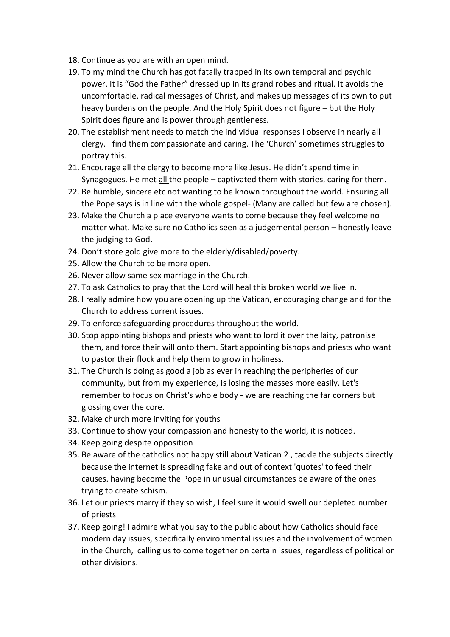- 18. Continue as you are with an open mind.
- 19. To my mind the Church has got fatally trapped in its own temporal and psychic power. It is "God the Father" dressed up in its grand robes and ritual. It avoids the uncomfortable, radical messages of Christ, and makes up messages of its own to put heavy burdens on the people. And the Holy Spirit does not figure – but the Holy Spirit does figure and is power through gentleness.
- 20. The establishment needs to match the individual responses I observe in nearly all clergy. I find them compassionate and caring. The 'Church' sometimes struggles to portray this.
- 21. Encourage all the clergy to become more like Jesus. He didn't spend time in Synagogues. He met all the people – captivated them with stories, caring for them.
- 22. Be humble, sincere etc not wanting to be known throughout the world. Ensuring all the Pope says is in line with the whole gospel- (Many are called but few are chosen).
- 23. Make the Church a place everyone wants to come because they feel welcome no matter what. Make sure no Catholics seen as a judgemental person – honestly leave the judging to God.
- 24. Don't store gold give more to the elderly/disabled/poverty.
- 25. Allow the Church to be more open.
- 26. Never allow same sex marriage in the Church.
- 27. To ask Catholics to pray that the Lord will heal this broken world we live in.
- 28. I really admire how you are opening up the Vatican, encouraging change and for the Church to address current issues.
- 29. To enforce safeguarding procedures throughout the world.
- 30. Stop appointing bishops and priests who want to lord it over the laity, patronise them, and force their will onto them. Start appointing bishops and priests who want to pastor their flock and help them to grow in holiness.
- 31. The Church is doing as good a job as ever in reaching the peripheries of our community, but from my experience, is losing the masses more easily. Let's remember to focus on Christ's whole body - we are reaching the far corners but glossing over the core.
- 32. Make church more inviting for youths
- 33. Continue to show your compassion and honesty to the world, it is noticed.
- 34. Keep going despite opposition
- 35. Be aware of the catholics not happy still about Vatican 2 , tackle the subjects directly because the internet is spreading fake and out of context 'quotes' to feed their causes. having become the Pope in unusual circumstances be aware of the ones trying to create schism.
- 36. Let our priests marry if they so wish, I feel sure it would swell our depleted number of priests
- 37. Keep going! I admire what you say to the public about how Catholics should face modern day issues, specifically environmental issues and the involvement of women in the Church, calling us to come together on certain issues, regardless of political or other divisions.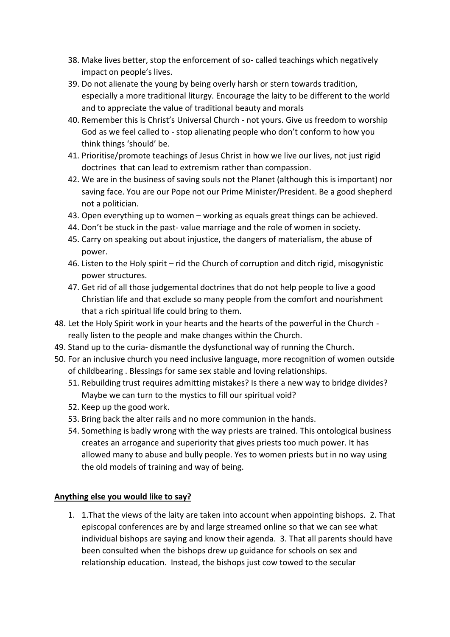- 38. Make lives better, stop the enforcement of so- called teachings which negatively impact on people's lives.
- 39. Do not alienate the young by being overly harsh or stern towards tradition, especially a more traditional liturgy. Encourage the laity to be different to the world and to appreciate the value of traditional beauty and morals
- 40. Remember this is Christ's Universal Church not yours. Give us freedom to worship God as we feel called to - stop alienating people who don't conform to how you think things 'should' be.
- 41. Prioritise/promote teachings of Jesus Christ in how we live our lives, not just rigid doctrines that can lead to extremism rather than compassion.
- 42. We are in the business of saving souls not the Planet (although this is important) nor saving face. You are our Pope not our Prime Minister/President. Be a good shepherd not a politician.
- 43. Open everything up to women working as equals great things can be achieved.
- 44. Don't be stuck in the past- value marriage and the role of women in society.
- 45. Carry on speaking out about injustice, the dangers of materialism, the abuse of power.
- 46. Listen to the Holy spirit rid the Church of corruption and ditch rigid, misogynistic power structures.
- 47. Get rid of all those judgemental doctrines that do not help people to live a good Christian life and that exclude so many people from the comfort and nourishment that a rich spiritual life could bring to them.
- 48. Let the Holy Spirit work in your hearts and the hearts of the powerful in the Church really listen to the people and make changes within the Church.
- 49. Stand up to the curia- dismantle the dysfunctional way of running the Church.
- 50. For an inclusive church you need inclusive language, more recognition of women outside of childbearing . Blessings for same sex stable and loving relationships.
	- 51. Rebuilding trust requires admitting mistakes? Is there a new way to bridge divides? Maybe we can turn to the mystics to fill our spiritual void?
	- 52. Keep up the good work.
	- 53. Bring back the alter rails and no more communion in the hands.
	- 54. Something is badly wrong with the way priests are trained. This ontological business creates an arrogance and superiority that gives priests too much power. It has allowed many to abuse and bully people. Yes to women priests but in no way using the old models of training and way of being.

#### **Anything else you would like to say?**

1. 1.That the views of the laity are taken into account when appointing bishops. 2. That episcopal conferences are by and large streamed online so that we can see what individual bishops are saying and know their agenda. 3. That all parents should have been consulted when the bishops drew up guidance for schools on sex and relationship education. Instead, the bishops just cow towed to the secular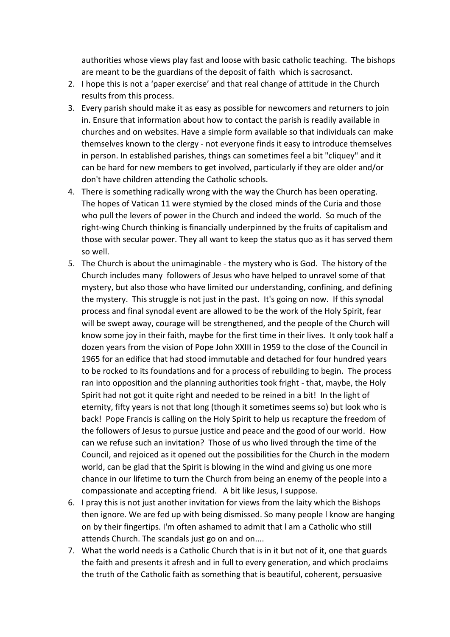authorities whose views play fast and loose with basic catholic teaching. The bishops are meant to be the guardians of the deposit of faith which is sacrosanct.

- 2. I hope this is not a 'paper exercise' and that real change of attitude in the Church results from this process.
- 3. Every parish should make it as easy as possible for newcomers and returners to join in. Ensure that information about how to contact the parish is readily available in churches and on websites. Have a simple form available so that individuals can make themselves known to the clergy - not everyone finds it easy to introduce themselves in person. In established parishes, things can sometimes feel a bit "cliquey" and it can be hard for new members to get involved, particularly if they are older and/or don't have children attending the Catholic schools.
- 4. There is something radically wrong with the way the Church has been operating. The hopes of Vatican 11 were stymied by the closed minds of the Curia and those who pull the levers of power in the Church and indeed the world. So much of the right-wing Church thinking is financially underpinned by the fruits of capitalism and those with secular power. They all want to keep the status quo as it has served them so well.
- 5. The Church is about the unimaginable the mystery who is God. The history of the Church includes many followers of Jesus who have helped to unravel some of that mystery, but also those who have limited our understanding, confining, and defining the mystery. This struggle is not just in the past. It's going on now. If this synodal process and final synodal event are allowed to be the work of the Holy Spirit, fear will be swept away, courage will be strengthened, and the people of the Church will know some joy in their faith, maybe for the first time in their lives. It only took half a dozen years from the vision of Pope John XXIII in 1959 to the close of the Council in 1965 for an edifice that had stood immutable and detached for four hundred years to be rocked to its foundations and for a process of rebuilding to begin. The process ran into opposition and the planning authorities took fright - that, maybe, the Holy Spirit had not got it quite right and needed to be reined in a bit! In the light of eternity, fifty years is not that long (though it sometimes seems so) but look who is back! Pope Francis is calling on the Holy Spirit to help us recapture the freedom of the followers of Jesus to pursue justice and peace and the good of our world. How can we refuse such an invitation? Those of us who lived through the time of the Council, and rejoiced as it opened out the possibilities for the Church in the modern world, can be glad that the Spirit is blowing in the wind and giving us one more chance in our lifetime to turn the Church from being an enemy of the people into a compassionate and accepting friend. A bit like Jesus, I suppose.
- 6. I pray this is not just another invitation for views from the laity which the Bishops then ignore. We are fed up with being dismissed. So many people l know are hanging on by their fingertips. I'm often ashamed to admit that l am a Catholic who still attends Church. The scandals just go on and on....
- 7. What the world needs is a Catholic Church that is in it but not of it, one that guards the faith and presents it afresh and in full to every generation, and which proclaims the truth of the Catholic faith as something that is beautiful, coherent, persuasive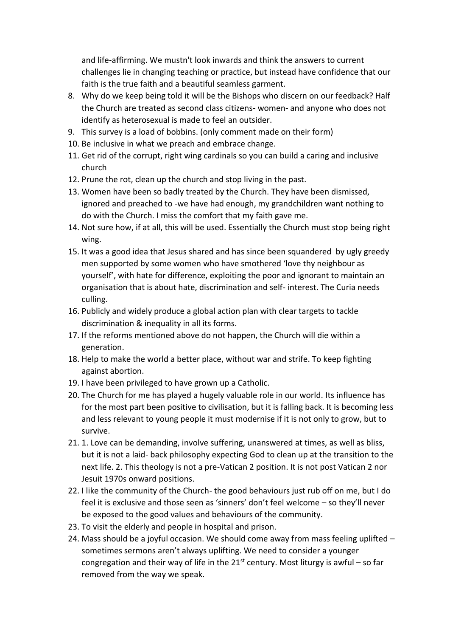and life-affirming. We mustn't look inwards and think the answers to current challenges lie in changing teaching or practice, but instead have confidence that our faith is the true faith and a beautiful seamless garment.

- 8. Why do we keep being told it will be the Bishops who discern on our feedback? Half the Church are treated as second class citizens- women- and anyone who does not identify as heterosexual is made to feel an outsider.
- 9. This survey is a load of bobbins. (only comment made on their form)
- 10. Be inclusive in what we preach and embrace change.
- 11. Get rid of the corrupt, right wing cardinals so you can build a caring and inclusive church
- 12. Prune the rot, clean up the church and stop living in the past.
- 13. Women have been so badly treated by the Church. They have been dismissed, ignored and preached to -we have had enough, my grandchildren want nothing to do with the Church. I miss the comfort that my faith gave me.
- 14. Not sure how, if at all, this will be used. Essentially the Church must stop being right wing.
- 15. It was a good idea that Jesus shared and has since been squandered by ugly greedy men supported by some women who have smothered 'love thy neighbour as yourself', with hate for difference, exploiting the poor and ignorant to maintain an organisation that is about hate, discrimination and self- interest. The Curia needs culling.
- 16. Publicly and widely produce a global action plan with clear targets to tackle discrimination & inequality in all its forms.
- 17. If the reforms mentioned above do not happen, the Church will die within a generation.
- 18. Help to make the world a better place, without war and strife. To keep fighting against abortion.
- 19. I have been privileged to have grown up a Catholic.
- 20. The Church for me has played a hugely valuable role in our world. Its influence has for the most part been positive to civilisation, but it is falling back. It is becoming less and less relevant to young people it must modernise if it is not only to grow, but to survive.
- 21. 1. Love can be demanding, involve suffering, unanswered at times, as well as bliss, but it is not a laid- back philosophy expecting God to clean up at the transition to the next life. 2. This theology is not a pre-Vatican 2 position. It is not post Vatican 2 nor Jesuit 1970s onward positions.
- 22. I like the community of the Church- the good behaviours just rub off on me, but I do feel it is exclusive and those seen as 'sinners' don't feel welcome – so they'll never be exposed to the good values and behaviours of the community.
- 23. To visit the elderly and people in hospital and prison.
- 24. Mass should be a joyful occasion. We should come away from mass feeling uplifted sometimes sermons aren't always uplifting. We need to consider a younger congregation and their way of life in the  $21^{st}$  century. Most liturgy is awful – so far removed from the way we speak.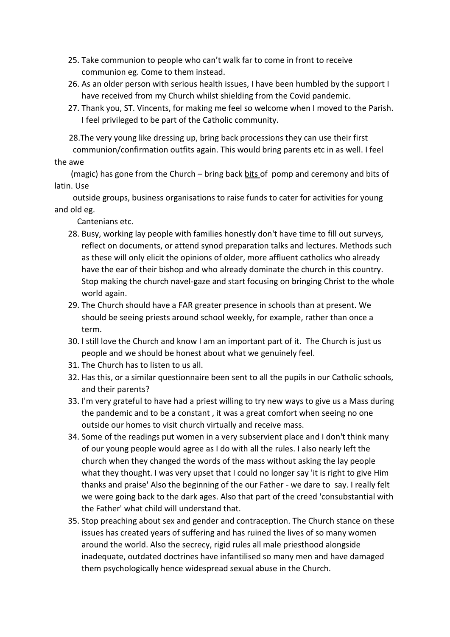- 25. Take communion to people who can't walk far to come in front to receive communion eg. Come to them instead.
- 26. As an older person with serious health issues, I have been humbled by the support I have received from my Church whilst shielding from the Covid pandemic.
- 27. Thank you, ST. Vincents, for making me feel so welcome when I moved to the Parish. I feel privileged to be part of the Catholic community.

 28.The very young like dressing up, bring back processions they can use their first communion/confirmation outfits again. This would bring parents etc in as well. I feel

#### the awe

 (magic) has gone from the Church – bring back bits of pomp and ceremony and bits of latin. Use

 outside groups, business organisations to raise funds to cater for activities for young and old eg.

Cantenians etc.

- 28. Busy, working lay people with families honestly don't have time to fill out surveys, reflect on documents, or attend synod preparation talks and lectures. Methods such as these will only elicit the opinions of older, more affluent catholics who already have the ear of their bishop and who already dominate the church in this country. Stop making the church navel-gaze and start focusing on bringing Christ to the whole world again.
- 29. The Church should have a FAR greater presence in schools than at present. We should be seeing priests around school weekly, for example, rather than once a term.
- 30. I still love the Church and know I am an important part of it. The Church is just us people and we should be honest about what we genuinely feel.
- 31. The Church has to listen to us all.
- 32. Has this, or a similar questionnaire been sent to all the pupils in our Catholic schools, and their parents?
- 33. I'm very grateful to have had a priest willing to try new ways to give us a Mass during the pandemic and to be a constant , it was a great comfort when seeing no one outside our homes to visit church virtually and receive mass.
- 34. Some of the readings put women in a very subservient place and I don't think many of our young people would agree as I do with all the rules. I also nearly left the church when they changed the words of the mass without asking the lay people what they thought. I was very upset that I could no longer say 'it is right to give Him thanks and praise' Also the beginning of the our Father - we dare to say. I really felt we were going back to the dark ages. Also that part of the creed 'consubstantial with the Father' what child will understand that.
- 35. Stop preaching about sex and gender and contraception. The Church stance on these issues has created years of suffering and has ruined the lives of so many women around the world. Also the secrecy, rigid rules all male priesthood alongside inadequate, outdated doctrines have infantilised so many men and have damaged them psychologically hence widespread sexual abuse in the Church.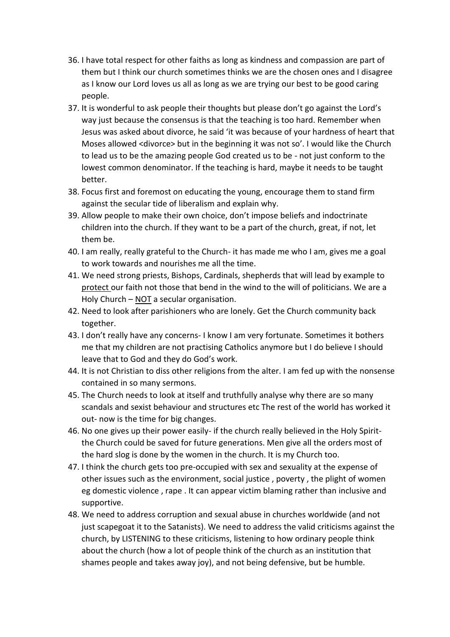- 36. I have total respect for other faiths as long as kindness and compassion are part of them but I think our church sometimes thinks we are the chosen ones and I disagree as I know our Lord loves us all as long as we are trying our best to be good caring people.
- 37. It is wonderful to ask people their thoughts but please don't go against the Lord's way just because the consensus is that the teaching is too hard. Remember when Jesus was asked about divorce, he said 'it was because of your hardness of heart that Moses allowed <divorce> but in the beginning it was not so'. I would like the Church to lead us to be the amazing people God created us to be - not just conform to the lowest common denominator. If the teaching is hard, maybe it needs to be taught better.
- 38. Focus first and foremost on educating the young, encourage them to stand firm against the secular tide of liberalism and explain why.
- 39. Allow people to make their own choice, don't impose beliefs and indoctrinate children into the church. If they want to be a part of the church, great, if not, let them be.
- 40. I am really, really grateful to the Church- it has made me who I am, gives me a goal to work towards and nourishes me all the time.
- 41. We need strong priests, Bishops, Cardinals, shepherds that will lead by example to protect our faith not those that bend in the wind to the will of politicians. We are a Holy Church – NOT a secular organisation.
- 42. Need to look after parishioners who are lonely. Get the Church community back together.
- 43. I don't really have any concerns- I know I am very fortunate. Sometimes it bothers me that my children are not practising Catholics anymore but I do believe I should leave that to God and they do God's work.
- 44. It is not Christian to diss other religions from the alter. I am fed up with the nonsense contained in so many sermons.
- 45. The Church needs to look at itself and truthfully analyse why there are so many scandals and sexist behaviour and structures etc The rest of the world has worked it out- now is the time for big changes.
- 46. No one gives up their power easily- if the church really believed in the Holy Spiritthe Church could be saved for future generations. Men give all the orders most of the hard slog is done by the women in the church. It is my Church too.
- 47. I think the church gets too pre-occupied with sex and sexuality at the expense of other issues such as the environment, social justice , poverty , the plight of women eg domestic violence , rape . It can appear victim blaming rather than inclusive and supportive.
- 48. We need to address corruption and sexual abuse in churches worldwide (and not just scapegoat it to the Satanists). We need to address the valid criticisms against the church, by LISTENING to these criticisms, listening to how ordinary people think about the church (how a lot of people think of the church as an institution that shames people and takes away joy), and not being defensive, but be humble.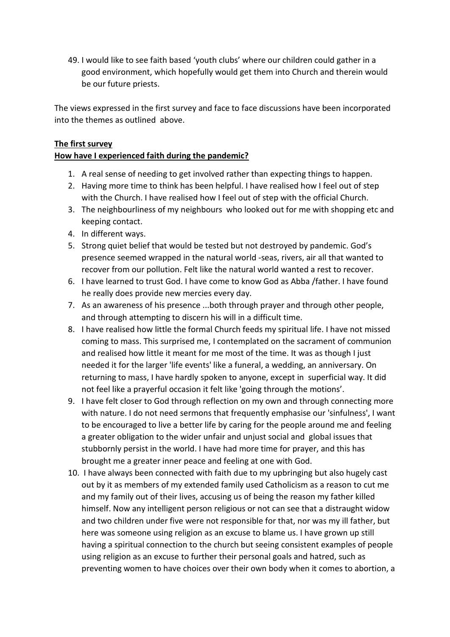49. I would like to see faith based 'youth clubs' where our children could gather in a good environment, which hopefully would get them into Church and therein would be our future priests.

The views expressed in the first survey and face to face discussions have been incorporated into the themes as outlined above.

### **The first survey**

### **How have I experienced faith during the pandemic?**

- 1. A real sense of needing to get involved rather than expecting things to happen.
- 2. Having more time to think has been helpful. I have realised how I feel out of step with the Church. I have realised how I feel out of step with the official Church.
- 3. The neighbourliness of my neighbours who looked out for me with shopping etc and keeping contact.
- 4. In different ways.
- 5. Strong quiet belief that would be tested but not destroyed by pandemic. God's presence seemed wrapped in the natural world -seas, rivers, air all that wanted to recover from our pollution. Felt like the natural world wanted a rest to recover.
- 6. I have learned to trust God. I have come to know God as Abba /father. I have found he really does provide new mercies every day.
- 7. As an awareness of his presence ...both through prayer and through other people, and through attempting to discern his will in a difficult time.
- 8. I have realised how little the formal Church feeds my spiritual life. I have not missed coming to mass. This surprised me, I contemplated on the sacrament of communion and realised how little it meant for me most of the time. It was as though I just needed it for the larger 'life events' like a funeral, a wedding, an anniversary. On returning to mass, I have hardly spoken to anyone, except in superficial way. It did not feel like a prayerful occasion it felt like 'going through the motions'.
- 9. I have felt closer to God through reflection on my own and through connecting more with nature. I do not need sermons that frequently emphasise our 'sinfulness', I want to be encouraged to live a better life by caring for the people around me and feeling a greater obligation to the wider unfair and unjust social and global issues that stubbornly persist in the world. I have had more time for prayer, and this has brought me a greater inner peace and feeling at one with God.
- 10. I have always been connected with faith due to my upbringing but also hugely cast out by it as members of my extended family used Catholicism as a reason to cut me and my family out of their lives, accusing us of being the reason my father killed himself. Now any intelligent person religious or not can see that a distraught widow and two children under five were not responsible for that, nor was my ill father, but here was someone using religion as an excuse to blame us. I have grown up still having a spiritual connection to the church but seeing consistent examples of people using religion as an excuse to further their personal goals and hatred, such as preventing women to have choices over their own body when it comes to abortion, a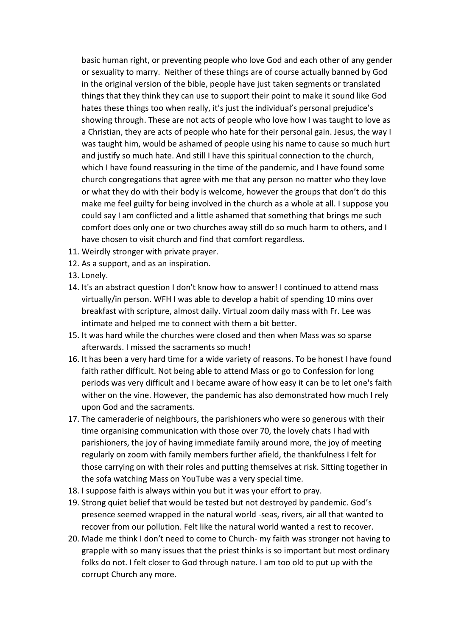basic human right, or preventing people who love God and each other of any gender or sexuality to marry. Neither of these things are of course actually banned by God in the original version of the bible, people have just taken segments or translated things that they think they can use to support their point to make it sound like God hates these things too when really, it's just the individual's personal prejudice's showing through. These are not acts of people who love how I was taught to love as a Christian, they are acts of people who hate for their personal gain. Jesus, the way I was taught him, would be ashamed of people using his name to cause so much hurt and justify so much hate. And still I have this spiritual connection to the church, which I have found reassuring in the time of the pandemic, and I have found some church congregations that agree with me that any person no matter who they love or what they do with their body is welcome, however the groups that don't do this make me feel guilty for being involved in the church as a whole at all. I suppose you could say I am conflicted and a little ashamed that something that brings me such comfort does only one or two churches away still do so much harm to others, and I have chosen to visit church and find that comfort regardless.

- 11. Weirdly stronger with private prayer.
- 12. As a support, and as an inspiration.
- 13. Lonely.
- 14. It's an abstract question I don't know how to answer! I continued to attend mass virtually/in person. WFH I was able to develop a habit of spending 10 mins over breakfast with scripture, almost daily. Virtual zoom daily mass with Fr. Lee was intimate and helped me to connect with them a bit better.
- 15. It was hard while the churches were closed and then when Mass was so sparse afterwards. I missed the sacraments so much!
- 16. It has been a very hard time for a wide variety of reasons. To be honest I have found faith rather difficult. Not being able to attend Mass or go to Confession for long periods was very difficult and I became aware of how easy it can be to let one's faith wither on the vine. However, the pandemic has also demonstrated how much I rely upon God and the sacraments.
- 17. The cameraderie of neighbours, the parishioners who were so generous with their time organising communication with those over 70, the lovely chats I had with parishioners, the joy of having immediate family around more, the joy of meeting regularly on zoom with family members further afield, the thankfulness I felt for those carrying on with their roles and putting themselves at risk. Sitting together in the sofa watching Mass on YouTube was a very special time.
- 18. I suppose faith is always within you but it was your effort to pray.
- 19. Strong quiet belief that would be tested but not destroyed by pandemic. God's presence seemed wrapped in the natural world -seas, rivers, air all that wanted to recover from our pollution. Felt like the natural world wanted a rest to recover.
- 20. Made me think I don't need to come to Church- my faith was stronger not having to grapple with so many issues that the priest thinks is so important but most ordinary folks do not. I felt closer to God through nature. I am too old to put up with the corrupt Church any more.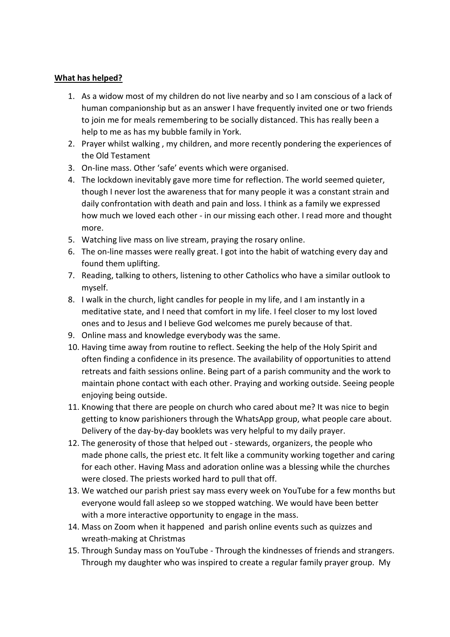#### **What has helped?**

- 1. As a widow most of my children do not live nearby and so I am conscious of a lack of human companionship but as an answer I have frequently invited one or two friends to join me for meals remembering to be socially distanced. This has really been a help to me as has my bubble family in York.
- 2. Prayer whilst walking , my children, and more recently pondering the experiences of the Old Testament
- 3. On-line mass. Other 'safe' events which were organised.
- 4. The lockdown inevitably gave more time for reflection. The world seemed quieter, though I never lost the awareness that for many people it was a constant strain and daily confrontation with death and pain and loss. I think as a family we expressed how much we loved each other - in our missing each other. I read more and thought more.
- 5. Watching live mass on live stream, praying the rosary online.
- 6. The on-line masses were really great. I got into the habit of watching every day and found them uplifting.
- 7. Reading, talking to others, listening to other Catholics who have a similar outlook to myself.
- 8. I walk in the church, light candles for people in my life, and I am instantly in a meditative state, and I need that comfort in my life. I feel closer to my lost loved ones and to Jesus and I believe God welcomes me purely because of that.
- 9. Online mass and knowledge everybody was the same.
- 10. Having time away from routine to reflect. Seeking the help of the Holy Spirit and often finding a confidence in its presence. The availability of opportunities to attend retreats and faith sessions online. Being part of a parish community and the work to maintain phone contact with each other. Praying and working outside. Seeing people enjoying being outside.
- 11. Knowing that there are people on church who cared about me? It was nice to begin getting to know parishioners through the WhatsApp group, what people care about. Delivery of the day-by-day booklets was very helpful to my daily prayer.
- 12. The generosity of those that helped out stewards, organizers, the people who made phone calls, the priest etc. It felt like a community working together and caring for each other. Having Mass and adoration online was a blessing while the churches were closed. The priests worked hard to pull that off.
- 13. We watched our parish priest say mass every week on YouTube for a few months but everyone would fall asleep so we stopped watching. We would have been better with a more interactive opportunity to engage in the mass.
- 14. Mass on Zoom when it happened and parish online events such as quizzes and wreath-making at Christmas
- 15. Through Sunday mass on YouTube Through the kindnesses of friends and strangers. Through my daughter who was inspired to create a regular family prayer group. My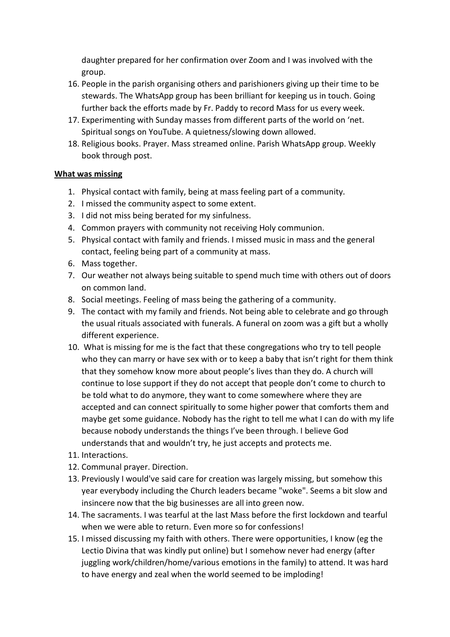daughter prepared for her confirmation over Zoom and I was involved with the group.

- 16. People in the parish organising others and parishioners giving up their time to be stewards. The WhatsApp group has been brilliant for keeping us in touch. Going further back the efforts made by Fr. Paddy to record Mass for us every week.
- 17. Experimenting with Sunday masses from different parts of the world on 'net. Spiritual songs on YouTube. A quietness/slowing down allowed.
- 18. Religious books. Prayer. Mass streamed online. Parish WhatsApp group. Weekly book through post.

#### **What was missing**

- 1. Physical contact with family, being at mass feeling part of a community.
- 2. I missed the community aspect to some extent.
- 3. I did not miss being berated for my sinfulness.
- 4. Common prayers with community not receiving Holy communion.
- 5. Physical contact with family and friends. I missed music in mass and the general contact, feeling being part of a community at mass.
- 6. Mass together.
- 7. Our weather not always being suitable to spend much time with others out of doors on common land.
- 8. Social meetings. Feeling of mass being the gathering of a community.
- 9. The contact with my family and friends. Not being able to celebrate and go through the usual rituals associated with funerals. A funeral on zoom was a gift but a wholly different experience.
- 10. What is missing for me is the fact that these congregations who try to tell people who they can marry or have sex with or to keep a baby that isn't right for them think that they somehow know more about people's lives than they do. A church will continue to lose support if they do not accept that people don't come to church to be told what to do anymore, they want to come somewhere where they are accepted and can connect spiritually to some higher power that comforts them and maybe get some guidance. Nobody has the right to tell me what I can do with my life because nobody understands the things I've been through. I believe God understands that and wouldn't try, he just accepts and protects me.
- 11. Interactions.
- 12. Communal prayer. Direction.
- 13. Previously I would've said care for creation was largely missing, but somehow this year everybody including the Church leaders became "woke". Seems a bit slow and insincere now that the big businesses are all into green now.
- 14. The sacraments. I was tearful at the last Mass before the first lockdown and tearful when we were able to return. Even more so for confessions!
- 15. I missed discussing my faith with others. There were opportunities, I know (eg the Lectio Divina that was kindly put online) but I somehow never had energy (after juggling work/children/home/various emotions in the family) to attend. It was hard to have energy and zeal when the world seemed to be imploding!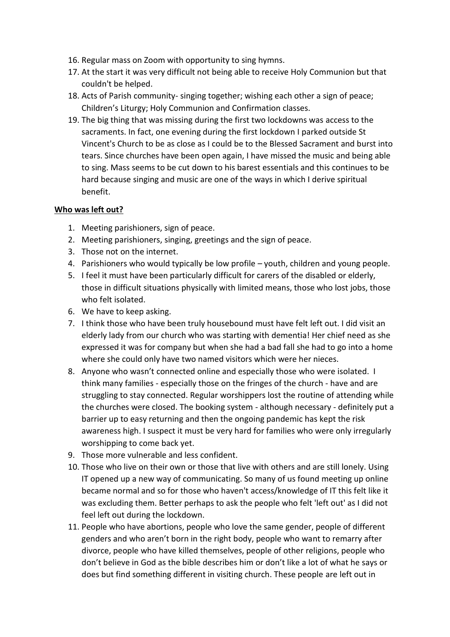- 16. Regular mass on Zoom with opportunity to sing hymns.
- 17. At the start it was very difficult not being able to receive Holy Communion but that couldn't be helped.
- 18. Acts of Parish community- singing together; wishing each other a sign of peace; Children's Liturgy; Holy Communion and Confirmation classes.
- 19. The big thing that was missing during the first two lockdowns was access to the sacraments. In fact, one evening during the first lockdown I parked outside St Vincent's Church to be as close as I could be to the Blessed Sacrament and burst into tears. Since churches have been open again, I have missed the music and being able to sing. Mass seems to be cut down to his barest essentials and this continues to be hard because singing and music are one of the ways in which I derive spiritual benefit.

#### **Who was left out?**

- 1. Meeting parishioners, sign of peace.
- 2. Meeting parishioners, singing, greetings and the sign of peace.
- 3. Those not on the internet.
- 4. Parishioners who would typically be low profile youth, children and young people.
- 5. I feel it must have been particularly difficult for carers of the disabled or elderly, those in difficult situations physically with limited means, those who lost jobs, those who felt isolated.
- 6. We have to keep asking.
- 7. I think those who have been truly housebound must have felt left out. I did visit an elderly lady from our church who was starting with dementia! Her chief need as she expressed it was for company but when she had a bad fall she had to go into a home where she could only have two named visitors which were her nieces.
- 8. Anyone who wasn't connected online and especially those who were isolated. I think many families - especially those on the fringes of the church - have and are struggling to stay connected. Regular worshippers lost the routine of attending while the churches were closed. The booking system - although necessary - definitely put a barrier up to easy returning and then the ongoing pandemic has kept the risk awareness high. I suspect it must be very hard for families who were only irregularly worshipping to come back yet.
- 9. Those more vulnerable and less confident.
- 10. Those who live on their own or those that live with others and are still lonely. Using IT opened up a new way of communicating. So many of us found meeting up online became normal and so for those who haven't access/knowledge of IT this felt like it was excluding them. Better perhaps to ask the people who felt 'left out' as I did not feel left out during the lockdown.
- 11. People who have abortions, people who love the same gender, people of different genders and who aren't born in the right body, people who want to remarry after divorce, people who have killed themselves, people of other religions, people who don't believe in God as the bible describes him or don't like a lot of what he says or does but find something different in visiting church. These people are left out in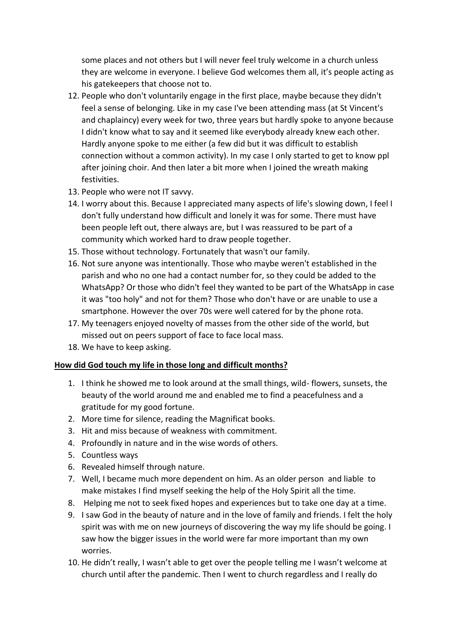some places and not others but I will never feel truly welcome in a church unless they are welcome in everyone. I believe God welcomes them all, it's people acting as his gatekeepers that choose not to.

- 12. People who don't voluntarily engage in the first place, maybe because they didn't feel a sense of belonging. Like in my case I've been attending mass (at St Vincent's and chaplaincy) every week for two, three years but hardly spoke to anyone because I didn't know what to say and it seemed like everybody already knew each other. Hardly anyone spoke to me either (a few did but it was difficult to establish connection without a common activity). In my case I only started to get to know ppl after joining choir. And then later a bit more when I joined the wreath making festivities.
- 13. People who were not IT savvy.
- 14. I worry about this. Because I appreciated many aspects of life's slowing down, I feel I don't fully understand how difficult and lonely it was for some. There must have been people left out, there always are, but I was reassured to be part of a community which worked hard to draw people together.
- 15. Those without technology. Fortunately that wasn't our family.
- 16. Not sure anyone was intentionally. Those who maybe weren't established in the parish and who no one had a contact number for, so they could be added to the WhatsApp? Or those who didn't feel they wanted to be part of the WhatsApp in case it was "too holy" and not for them? Those who don't have or are unable to use a smartphone. However the over 70s were well catered for by the phone rota.
- 17. My teenagers enjoyed novelty of masses from the other side of the world, but missed out on peers support of face to face local mass.
- 18. We have to keep asking.

#### **How did God touch my life in those long and difficult months?**

- 1. I think he showed me to look around at the small things, wild- flowers, sunsets, the beauty of the world around me and enabled me to find a peacefulness and a gratitude for my good fortune.
- 2. More time for silence, reading the Magnificat books.
- 3. Hit and miss because of weakness with commitment.
- 4. Profoundly in nature and in the wise words of others.
- 5. Countless ways
- 6. Revealed himself through nature.
- 7. Well, I became much more dependent on him. As an older person and liable to make mistakes I find myself seeking the help of the Holy Spirit all the time.
- 8. Helping me not to seek fixed hopes and experiences but to take one day at a time.
- 9. I saw God in the beauty of nature and in the love of family and friends. I felt the holy spirit was with me on new journeys of discovering the way my life should be going. I saw how the bigger issues in the world were far more important than my own worries.
- 10. He didn't really, I wasn't able to get over the people telling me I wasn't welcome at church until after the pandemic. Then I went to church regardless and I really do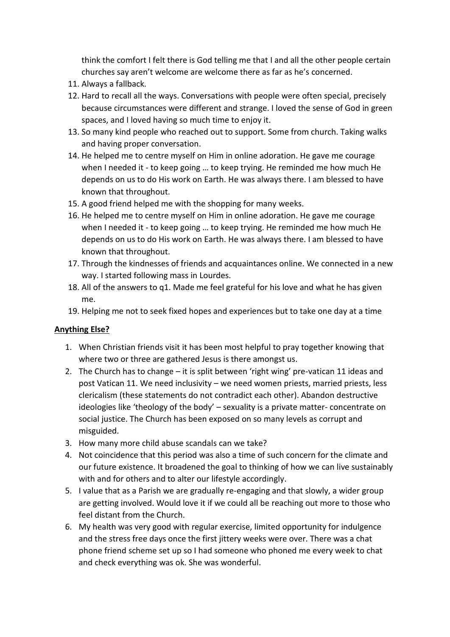think the comfort I felt there is God telling me that I and all the other people certain churches say aren't welcome are welcome there as far as he's concerned.

- 11. Always a fallback.
- 12. Hard to recall all the ways. Conversations with people were often special, precisely because circumstances were different and strange. I loved the sense of God in green spaces, and I loved having so much time to enjoy it.
- 13. So many kind people who reached out to support. Some from church. Taking walks and having proper conversation.
- 14. He helped me to centre myself on Him in online adoration. He gave me courage when I needed it - to keep going … to keep trying. He reminded me how much He depends on us to do His work on Earth. He was always there. I am blessed to have known that throughout.
- 15. A good friend helped me with the shopping for many weeks.
- 16. He helped me to centre myself on Him in online adoration. He gave me courage when I needed it - to keep going … to keep trying. He reminded me how much He depends on us to do His work on Earth. He was always there. I am blessed to have known that throughout.
- 17. Through the kindnesses of friends and acquaintances online. We connected in a new way. I started following mass in Lourdes.
- 18. All of the answers to q1. Made me feel grateful for his love and what he has given me.
- 19. Helping me not to seek fixed hopes and experiences but to take one day at a time

## **Anything Else?**

- 1. When Christian friends visit it has been most helpful to pray together knowing that where two or three are gathered Jesus is there amongst us.
- 2. The Church has to change it is split between 'right wing' pre-vatican 11 ideas and post Vatican 11. We need inclusivity – we need women priests, married priests, less clericalism (these statements do not contradict each other). Abandon destructive ideologies like 'theology of the body' – sexuality is a private matter- concentrate on social justice. The Church has been exposed on so many levels as corrupt and misguided.
- 3. How many more child abuse scandals can we take?
- 4. Not coincidence that this period was also a time of such concern for the climate and our future existence. It broadened the goal to thinking of how we can live sustainably with and for others and to alter our lifestyle accordingly.
- 5. I value that as a Parish we are gradually re-engaging and that slowly, a wider group are getting involved. Would love it if we could all be reaching out more to those who feel distant from the Church.
- 6. My health was very good with regular exercise, limited opportunity for indulgence and the stress free days once the first jittery weeks were over. There was a chat phone friend scheme set up so I had someone who phoned me every week to chat and check everything was ok. She was wonderful.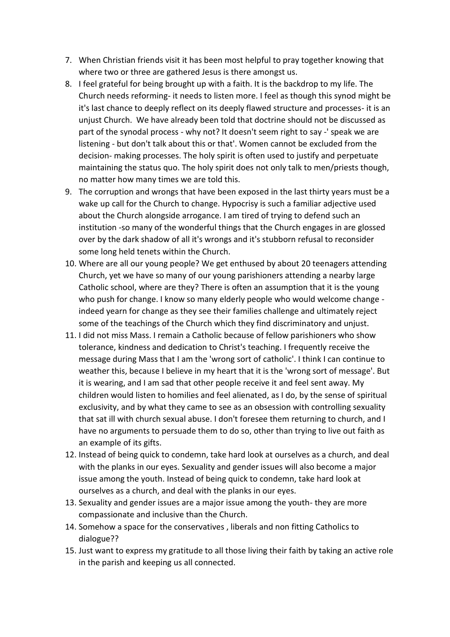- 7. When Christian friends visit it has been most helpful to pray together knowing that where two or three are gathered Jesus is there amongst us.
- 8. I feel grateful for being brought up with a faith. It is the backdrop to my life. The Church needs reforming- it needs to listen more. I feel as though this synod might be it's last chance to deeply reflect on its deeply flawed structure and processes- it is an unjust Church. We have already been told that doctrine should not be discussed as part of the synodal process - why not? It doesn't seem right to say -' speak we are listening - but don't talk about this or that'. Women cannot be excluded from the decision- making processes. The holy spirit is often used to justify and perpetuate maintaining the status quo. The holy spirit does not only talk to men/priests though, no matter how many times we are told this.
- 9. The corruption and wrongs that have been exposed in the last thirty years must be a wake up call for the Church to change. Hypocrisy is such a familiar adjective used about the Church alongside arrogance. I am tired of trying to defend such an institution -so many of the wonderful things that the Church engages in are glossed over by the dark shadow of all it's wrongs and it's stubborn refusal to reconsider some long held tenets within the Church.
- 10. Where are all our young people? We get enthused by about 20 teenagers attending Church, yet we have so many of our young parishioners attending a nearby large Catholic school, where are they? There is often an assumption that it is the young who push for change. I know so many elderly people who would welcome change indeed yearn for change as they see their families challenge and ultimately reject some of the teachings of the Church which they find discriminatory and unjust.
- 11. I did not miss Mass. I remain a Catholic because of fellow parishioners who show tolerance, kindness and dedication to Christ's teaching. I frequently receive the message during Mass that I am the 'wrong sort of catholic'. I think I can continue to weather this, because I believe in my heart that it is the 'wrong sort of message'. But it is wearing, and I am sad that other people receive it and feel sent away. My children would listen to homilies and feel alienated, as I do, by the sense of spiritual exclusivity, and by what they came to see as an obsession with controlling sexuality that sat ill with church sexual abuse. I don't foresee them returning to church, and I have no arguments to persuade them to do so, other than trying to live out faith as an example of its gifts.
- 12. Instead of being quick to condemn, take hard look at ourselves as a church, and deal with the planks in our eyes. Sexuality and gender issues will also become a major issue among the youth. Instead of being quick to condemn, take hard look at ourselves as a church, and deal with the planks in our eyes.
- 13. Sexuality and gender issues are a major issue among the youth- they are more compassionate and inclusive than the Church.
- 14. Somehow a space for the conservatives , liberals and non fitting Catholics to dialogue??
- 15. Just want to express my gratitude to all those living their faith by taking an active role in the parish and keeping us all connected.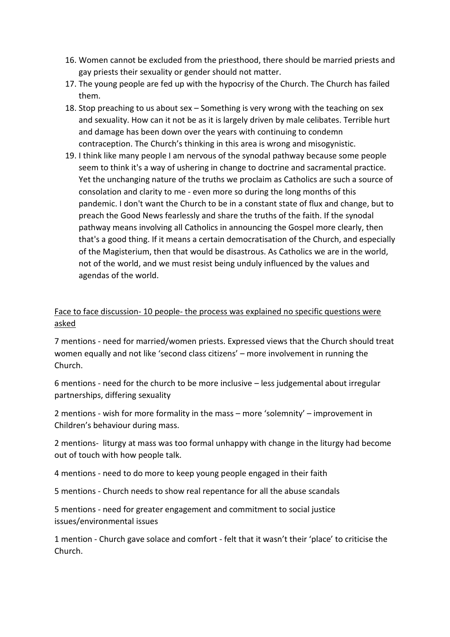- 16. Women cannot be excluded from the priesthood, there should be married priests and gay priests their sexuality or gender should not matter.
- 17. The young people are fed up with the hypocrisy of the Church. The Church has failed them.
- 18. Stop preaching to us about sex Something is very wrong with the teaching on sex and sexuality. How can it not be as it is largely driven by male celibates. Terrible hurt and damage has been down over the years with continuing to condemn contraception. The Church's thinking in this area is wrong and misogynistic.
- 19. I think like many people I am nervous of the synodal pathway because some people seem to think it's a way of ushering in change to doctrine and sacramental practice. Yet the unchanging nature of the truths we proclaim as Catholics are such a source of consolation and clarity to me - even more so during the long months of this pandemic. I don't want the Church to be in a constant state of flux and change, but to preach the Good News fearlessly and share the truths of the faith. If the synodal pathway means involving all Catholics in announcing the Gospel more clearly, then that's a good thing. If it means a certain democratisation of the Church, and especially of the Magisterium, then that would be disastrous. As Catholics we are in the world, not of the world, and we must resist being unduly influenced by the values and agendas of the world.

### Face to face discussion- 10 people- the process was explained no specific questions were asked

7 mentions - need for married/women priests. Expressed views that the Church should treat women equally and not like 'second class citizens' – more involvement in running the Church.

6 mentions - need for the church to be more inclusive – less judgemental about irregular partnerships, differing sexuality

2 mentions - wish for more formality in the mass – more 'solemnity' – improvement in Children's behaviour during mass.

2 mentions- liturgy at mass was too formal unhappy with change in the liturgy had become out of touch with how people talk.

4 mentions - need to do more to keep young people engaged in their faith

5 mentions - Church needs to show real repentance for all the abuse scandals

5 mentions - need for greater engagement and commitment to social justice issues/environmental issues

1 mention - Church gave solace and comfort - felt that it wasn't their 'place' to criticise the Church.